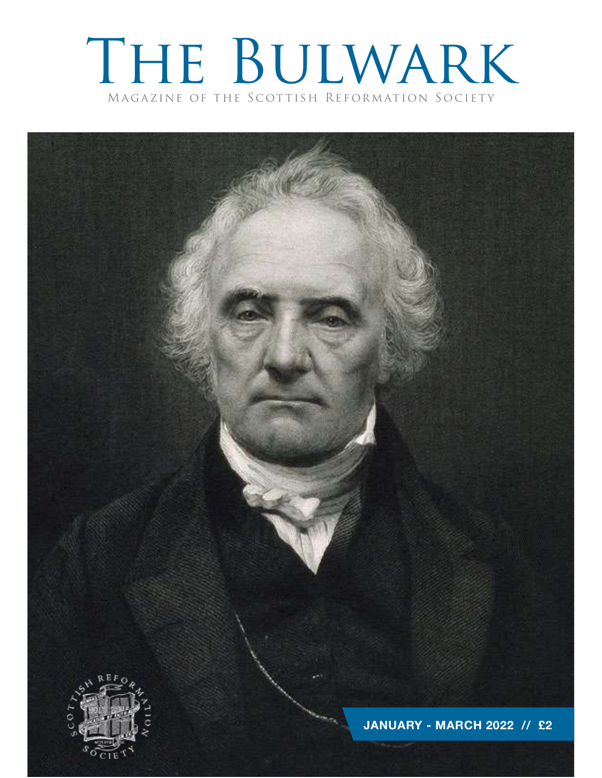### The Bulwark Magazine of the Scottish Reformation Society

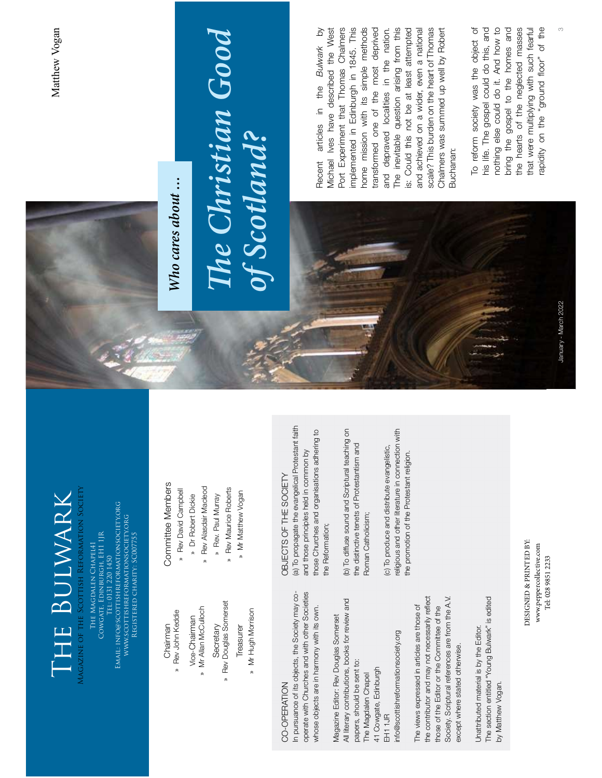## » Rev John Keddie

- 
- » Mr Allan McCulloch
- » Rev John Keddie<br>Vice-Chairman<br>Mr Allan McCulloch<br>Secretary<br>Reasurer<br>Treasurer<br>Mr Hugh Morrison » Mr Allan McCulloch<br>Secretary<br>Rev Douglas Somers<br>Treasurer<br>» Mr Hugh Morrison » Rev Douglas Somerset
	-

CO-OPERATION<br>CO-OPERATION and the Society may obtained the COST SOFT HE SOCIETY<br>operate with Churches and with other Societies — and those principles held in common by<br>whose objects are in harmony with its own. ———————————

- 
- » Rev Alasdair Macleod
- 
- » Rev Maurice Roberts
- » Mr Matthew Vogan

Chairman<br>
» Rev John Keddie<br>
Woe-Chairman<br>
» Mr Allan McCulloch<br>
» Rev Aasdair Macleod<br>
» Rev Douglas Somerset<br>
» Rev Maurice Roberts<br>
» Rev Douglas Somerset<br>
» Mr Marthew Vogan<br>
» Mr Hugh Morrison<br>
» Mr Mathew Vogan<br>
» Mr » Rev Alasdair Macleod<br>
» Rev Maurice Roberts<br>
» Mr Matthew Vogan<br>
» Mr Matthew Vogan<br>ECTS OF THE SOCII<br>Dropagate the evangel Mr Matthew Vogan<br>
My may co-<br>
(a) To propagate the evange<br>
of those principles held in<br>
the Societies<br>
the Societies<br>
the Societies<br>
the Societies<br>
(b) To diffuse sound and Societies<br>
(b) To diffuse sound and Societies<br>
(c



# The Christian Good<br>of Scotland?

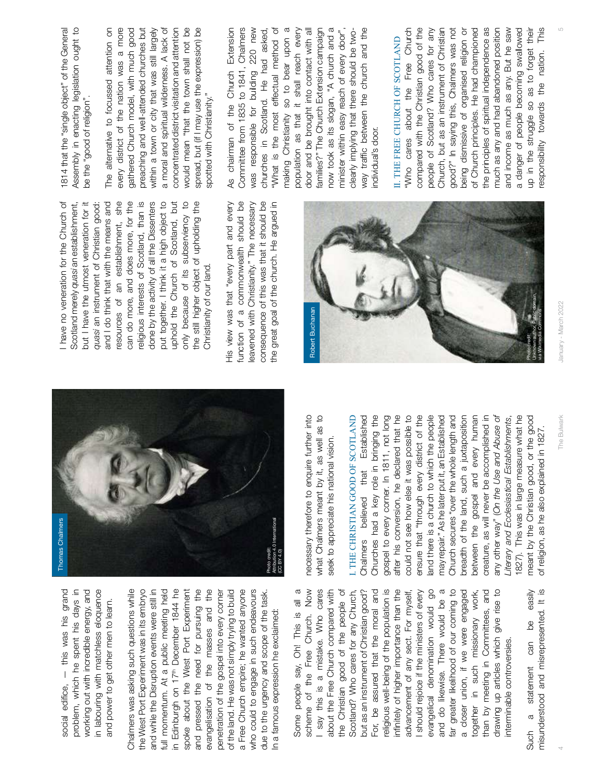—



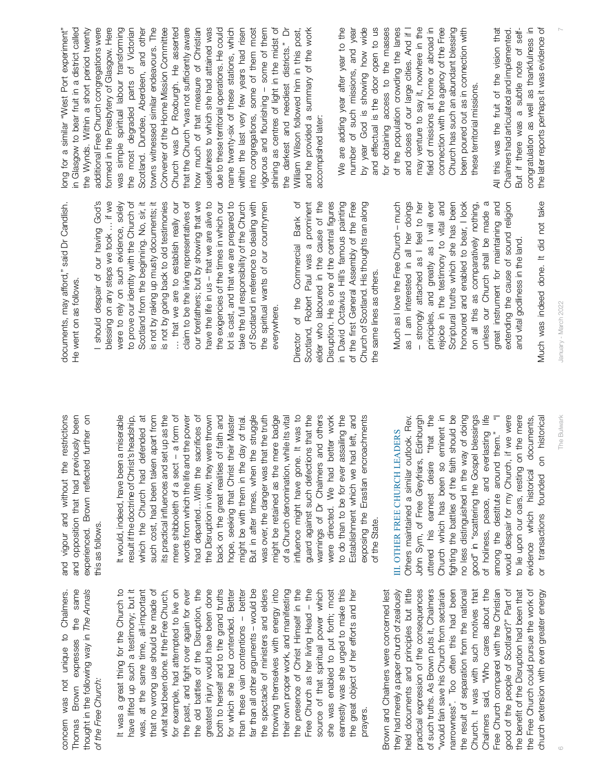concern was not unique to Chalmers. Thomas Brown expresses the same thought in the following way in 6 The Bulwark January - March 2022 7 The Annals of the Free Church: It was a great thing for the Church to have lifted up such a testimony; but it was, at the same time, all-important that no wrong use should be made of what had been done. If the Free Church, for example, had attempted to live on the past, and Äght over again for ever the old battles of the Disruption, the greatest injury would have been done both to herself and to the grand truths for which she had contended. Better than these vain contentions – better far than all other arguments – would be the spectacle of ministers and elders throwing themselves with energy into their own proper work, and manifesting the presence of Christ Himself in the Free Church as her living Head – the source of that spiritual power which she was enabled to put forth; most earnestly was she urged to make this the great object of her eorts and her prayers. Brown and Chalmers were concerned lest they had merely a paper church of zealously held documents and principles but little practical expression of the consequences of such truths. As Brown puts it, Chalmers "would fain save his Church from sectarian narrowness". Too often this had been the result of separation from the national Church. It was with such motives that Chalmers said, "Who cares about the Free Church compared with the Christian good of the people of Scotland?" Part of the beneÄt of the Disruption had been that the Free Church could pursue the work of church extension with even greater energy and vigour and without the restrictions and opposition that had previously been experienced. Brown reÅected further on this as follows. It would, indeed, have been a miserable result if the doctrine of Christ's headship, which the Church had defended at such cost, had been taken apart from its practical inÅuences and set up as the mere shibboleth of a sect – a form of words from which the life and the power had departed…With the sacriÄces of the Disruption in view, they were thrown back on the great realities of faith and hope, seeking that Christ their Master might be with them in the day of trial. But in after times, when the struggle was over, the danger was that the truth might be retained as the mere badge of a Church denomination, while its vital inÅuence might have gone. It was to guard against such defections that the warnings of Dr Chalmers and others were directed. We had better work to do than to be for ever assailing the Establishment which we had left, and exposing the Erastian encroachments of the State. III. OTHER FREE CHURCH LEADERS Others maintained a similar outlook. Rev. John Sym, of Free Greyfriars, Edinburgh uttered his earnest desire "that the Church which has been so eminent in Äghting the battles of the faith should be no less distinguished in the way of doing good" in "scattering the Gospel blessings of holiness, peace, and everlasting life among the destitute around them." "I would despair for my Church, if we were to lie upon our oars, resting on the mere evidence which historical documents, or transactions founded on historical documents, may aord," said Dr Candlish. He went on as follows. I should despair of our having God's blessing on any steps we took … if we were to rely on such evidence, solely to prove our identity with the Church of Scotland from the beginning. No, sir, it is not by raking up musty documents; it is not by going back to old testimonies … that we are to establish really our claim to be the living representatives of our forefathers; but by showing that we have the life in us – that we are alive to the exigencies of the times in which our lot is cast, and that we are prepared to take the full responsibility of the Church of Scotland in reference to dealing with the spiritual wants of our countrymen everywhere. Director of the Commercial Bank of Scotland, Robert Paul was a prominent elder who laboured in the cause of the Disruption. He is one of the centralÄgures in David Octavius Hill's famous painting of the Ärst General Assembly of the Free Church of Scotland. His thoughts ran along the same lines as others. Much as I love the Free Church – much as I am interested in all her doings – strongly attached as I feel to her principles, and greatly as I will ever rejoice in the testimony to vital and Scriptural truths which she has been honoured and enabled to bear, I look on all this as comparatively nothing, unless our Church shall be made a great instrument for maintaining and extending the cause of sound religion and vital godliness in the land. Much was indeed done. It did not take long for a similar "West Port experiment" in Glasgow to bear fruit in a district called the Wynds. Within a short period twenty additional Free Church congregations were formed in the Presbytery of Glasgow. Here was simple spiritual labour transforming the most degraded parts of Victorian Scotland. Dundee, Aberdeen, and other towns witnessed similar endeavours. The Convener of the Home Mission Committee Church was Dr Roxburgh. He asserted that the Church "was not su

that the Church "was not sufficiently aware<br>that the Church "was not sufficiently aware<br>user which shee heard of sitial<br>due to these terminal operations. He could<br>due to these terminal operations, which<br>mame twenty-six of